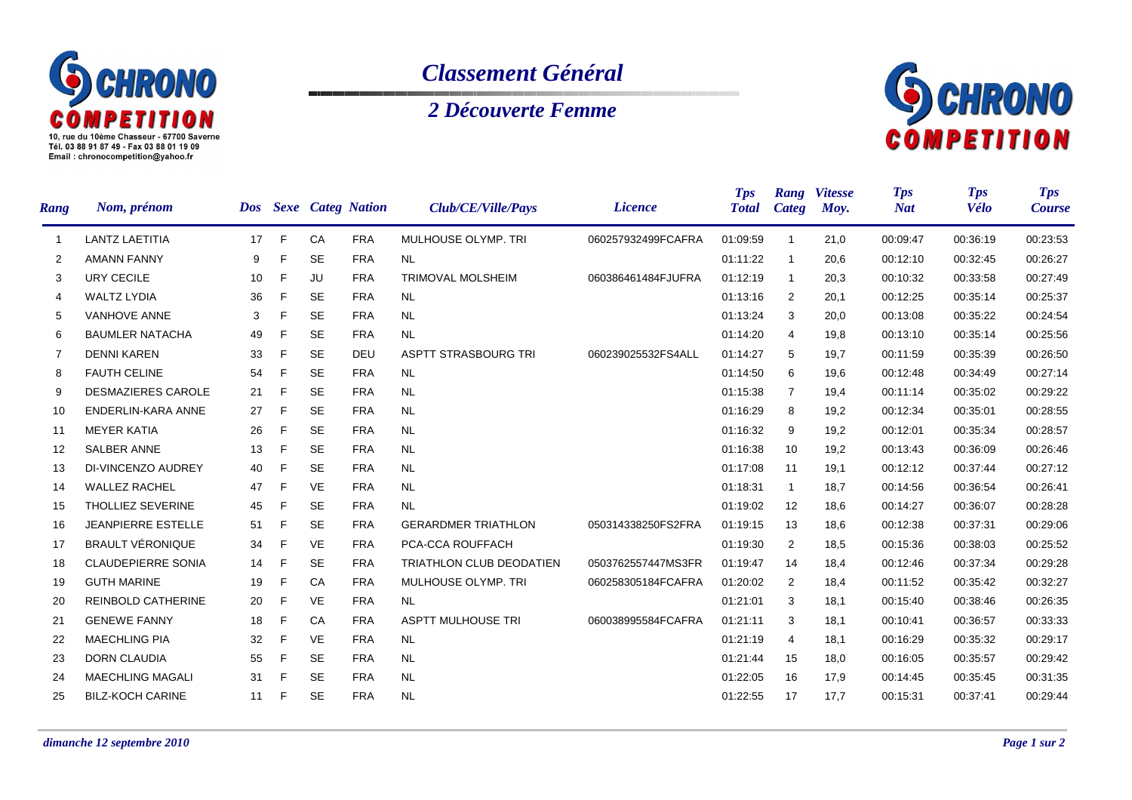

## *Classement Général*

## *2 Découverte Femme*



| <b>Rang</b>       | Nom, prénom               |    |   |           | Dos Sexe Categ Nation | Club/CE/Ville/Pays              | <b>Licence</b>     | <b>Tps</b><br><b>Total</b> | Rang<br><b>Categ</b> | <b>Vitesse</b><br>Moy. | <b>Tps</b><br><b>Nat</b> | <b>Tps</b><br><b>Vélo</b> | <b>Tps</b><br><b>Course</b> |
|-------------------|---------------------------|----|---|-----------|-----------------------|---------------------------------|--------------------|----------------------------|----------------------|------------------------|--------------------------|---------------------------|-----------------------------|
| -1                | <b>LANTZ LAETITIA</b>     | 17 | F | CA        | <b>FRA</b>            | MULHOUSE OLYMP. TRI             | 060257932499FCAFRA | 01:09:59                   | $\overline{1}$       | 21,0                   | 00:09:47                 | 00:36:19                  | 00:23:53                    |
| $\overline{2}$    | <b>AMANN FANNY</b>        | 9  | F | <b>SE</b> | <b>FRA</b>            | <b>NL</b>                       |                    | 01:11:22                   | $\mathbf{1}$         | 20,6                   | 00:12:10                 | 00:32:45                  | 00:26:27                    |
| 3                 | <b>URY CECILE</b>         | 10 | F | JU        | <b>FRA</b>            | <b>TRIMOVAL MOLSHEIM</b>        | 060386461484FJUFRA | 01:12:19                   | $\mathbf{1}$         | 20,3                   | 00:10:32                 | 00:33:58                  | 00:27:49                    |
| 4                 | <b>WALTZ LYDIA</b>        | 36 | F | <b>SE</b> | <b>FRA</b>            | <b>NL</b>                       |                    | 01:13:16                   | 2                    | 20,1                   | 00:12:25                 | 00:35:14                  | 00:25:37                    |
| 5                 | <b>VANHOVE ANNE</b>       | 3  | F | <b>SE</b> | <b>FRA</b>            | <b>NL</b>                       |                    | 01:13:24                   | 3                    | 20,0                   | 00:13:08                 | 00:35:22                  | 00:24:54                    |
| 6                 | <b>BAUMLER NATACHA</b>    | 49 | F | <b>SE</b> | <b>FRA</b>            | <b>NL</b>                       |                    | 01:14:20                   | 4                    | 19,8                   | 00:13:10                 | 00:35:14                  | 00:25:56                    |
| 7                 | <b>DENNI KAREN</b>        | 33 | F | <b>SE</b> | <b>DEU</b>            | <b>ASPTT STRASBOURG TRI</b>     | 060239025532FS4ALL | 01:14:27                   | 5                    | 19,7                   | 00:11:59                 | 00:35:39                  | 00:26:50                    |
| 8                 | <b>FAUTH CELINE</b>       | 54 | F | <b>SE</b> | <b>FRA</b>            | <b>NL</b>                       |                    | 01:14:50                   | 6                    | 19,6                   | 00:12:48                 | 00:34:49                  | 00:27:14                    |
| 9                 | <b>DESMAZIERES CAROLE</b> | 21 | F | <b>SE</b> | <b>FRA</b>            | <b>NL</b>                       |                    | 01:15:38                   | $\overline{7}$       | 19,4                   | 00:11:14                 | 00:35:02                  | 00:29:22                    |
| 10                | ENDERLIN-KARA ANNE        | 27 | F | <b>SE</b> | <b>FRA</b>            | <b>NL</b>                       |                    | 01:16:29                   | 8                    | 19,2                   | 00:12:34                 | 00:35:01                  | 00:28:55                    |
| 11                | <b>MEYER KATIA</b>        | 26 | F | <b>SE</b> | <b>FRA</b>            | <b>NL</b>                       |                    | 01:16:32                   | 9                    | 19,2                   | 00:12:01                 | 00:35:34                  | 00:28:57                    |
| $12 \overline{ }$ | <b>SALBER ANNE</b>        | 13 | F | <b>SE</b> | <b>FRA</b>            | <b>NL</b>                       |                    | 01:16:38                   | 10                   | 19,2                   | 00:13:43                 | 00:36:09                  | 00:26:46                    |
| 13                | DI-VINCENZO AUDREY        | 40 | F | <b>SE</b> | <b>FRA</b>            | <b>NL</b>                       |                    | 01:17:08                   | 11                   | 19,1                   | 00:12:12                 | 00:37:44                  | 00:27:12                    |
| 14                | <b>WALLEZ RACHEL</b>      | 47 | F | <b>VE</b> | <b>FRA</b>            | <b>NL</b>                       |                    | 01:18:31                   | $\mathbf{1}$         | 18,7                   | 00:14:56                 | 00:36:54                  | 00:26:41                    |
| 15                | THOLLIEZ SEVERINE         | 45 | F | <b>SE</b> | <b>FRA</b>            | <b>NL</b>                       |                    | 01:19:02                   | 12                   | 18,6                   | 00:14:27                 | 00:36:07                  | 00:28:28                    |
| 16                | <b>JEANPIERRE ESTELLE</b> | 51 | F | <b>SE</b> | <b>FRA</b>            | <b>GERARDMER TRIATHLON</b>      | 050314338250FS2FRA | 01:19:15                   | 13                   | 18,6                   | 00:12:38                 | 00:37:31                  | 00:29:06                    |
| 17                | <b>BRAULT VÉRONIQUE</b>   | 34 | F | <b>VE</b> | <b>FRA</b>            | PCA-CCA ROUFFACH                |                    | 01:19:30                   | 2                    | 18,5                   | 00:15:36                 | 00:38:03                  | 00:25:52                    |
| 18                | <b>CLAUDEPIERRE SONIA</b> | 14 | F | <b>SE</b> | <b>FRA</b>            | <b>TRIATHLON CLUB DEODATIEN</b> | 0503762557447MS3FR | 01:19:47                   | 14                   | 18,4                   | 00:12:46                 | 00:37:34                  | 00:29:28                    |
| 19                | <b>GUTH MARINE</b>        | 19 | F | CA        | <b>FRA</b>            | MULHOUSE OLYMP. TRI             | 060258305184FCAFRA | 01:20:02                   | 2                    | 18,4                   | 00:11:52                 | 00:35:42                  | 00:32:27                    |
| 20                | <b>REINBOLD CATHERINE</b> | 20 | F | <b>VE</b> | <b>FRA</b>            | <b>NL</b>                       |                    | 01:21:01                   | 3                    | 18,1                   | 00:15:40                 | 00:38:46                  | 00:26:35                    |
| 21                | <b>GENEWE FANNY</b>       | 18 | F | CA        | <b>FRA</b>            | <b>ASPTT MULHOUSE TRI</b>       | 060038995584FCAFRA | 01:21:11                   | 3                    | 18,1                   | 00:10:41                 | 00:36:57                  | 00:33:33                    |
| 22                | <b>MAECHLING PIA</b>      | 32 | F | <b>VE</b> | <b>FRA</b>            | <b>NL</b>                       |                    | 01:21:19                   | 4                    | 18,1                   | 00:16:29                 | 00:35:32                  | 00:29:17                    |
| 23                | <b>DORN CLAUDIA</b>       | 55 | F | <b>SE</b> | <b>FRA</b>            | <b>NL</b>                       |                    | 01:21:44                   | 15                   | 18,0                   | 00:16:05                 | 00:35:57                  | 00:29:42                    |
| 24                | <b>MAECHLING MAGALI</b>   | 31 | F | <b>SE</b> | <b>FRA</b>            | <b>NL</b>                       |                    | 01:22:05                   | 16                   | 17,9                   | 00:14:45                 | 00:35:45                  | 00:31:35                    |
| 25                | <b>BILZ-KOCH CARINE</b>   | 11 | F | <b>SE</b> | <b>FRA</b>            | <b>NL</b>                       |                    | 01:22:55                   | 17                   | 17,7                   | 00:15:31                 | 00:37:41                  | 00:29:44                    |